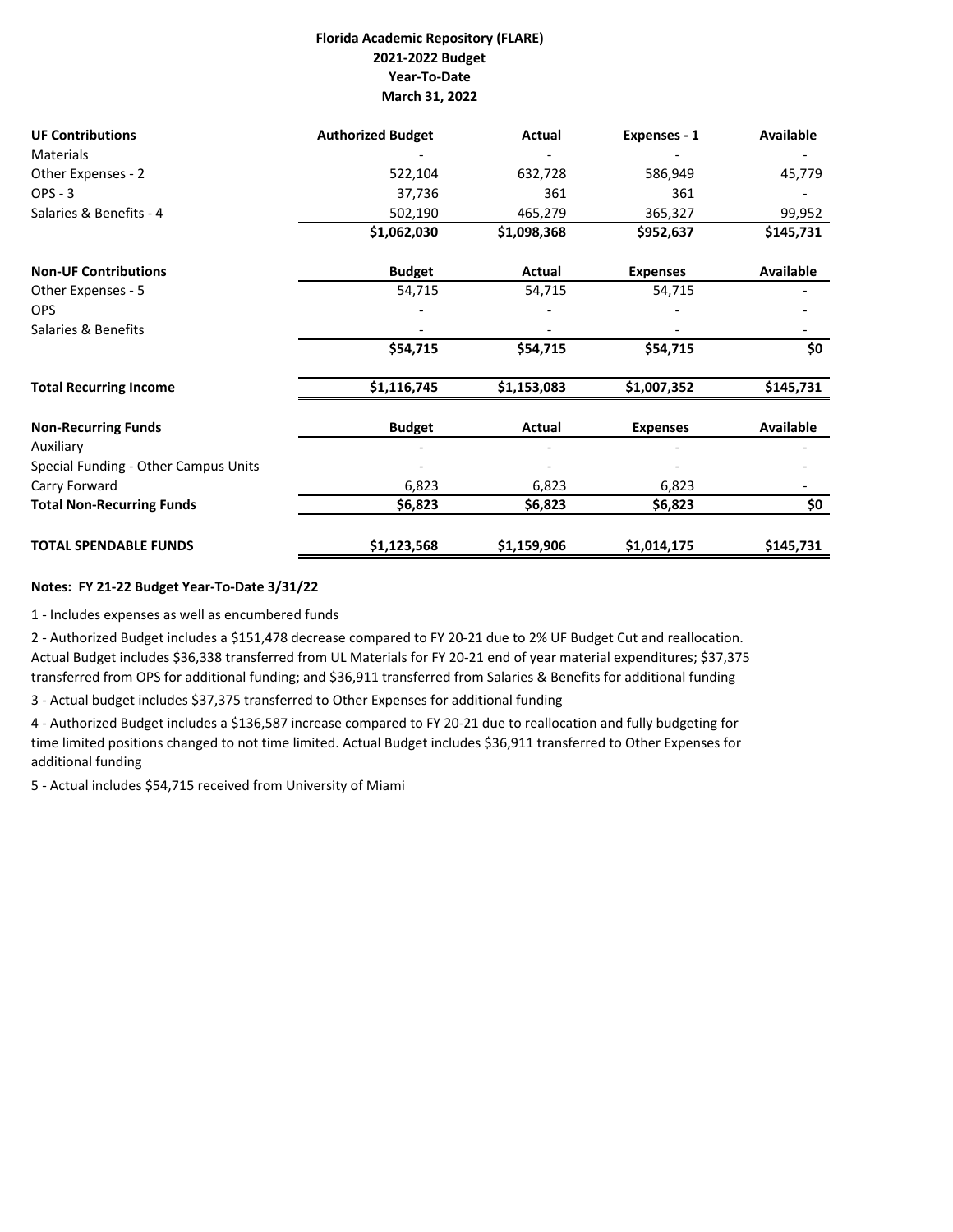## **Florida Academic Repository (FLARE) 2021‐2022 Budget Year‐To‐Date March 31, 2022**

| <b>UF Contributions</b>              | <b>Authorized Budget</b> | Actual      | Expenses - 1    | <b>Available</b> |
|--------------------------------------|--------------------------|-------------|-----------------|------------------|
| <b>Materials</b>                     |                          |             |                 |                  |
| Other Expenses - 2                   | 522,104                  | 632,728     | 586,949         | 45,779           |
| $OPS - 3$                            | 37,736                   | 361         | 361             |                  |
| Salaries & Benefits - 4              | 502,190                  | 465,279     | 365,327         | 99,952           |
|                                      | \$1,062,030              | \$1,098,368 | \$952,637       | \$145,731        |
| <b>Non-UF Contributions</b>          | <b>Budget</b>            | Actual      | <b>Expenses</b> | Available        |
| Other Expenses - 5                   | 54,715                   | 54,715      | 54,715          |                  |
| <b>OPS</b>                           |                          |             |                 |                  |
| Salaries & Benefits                  |                          |             |                 |                  |
|                                      | \$54,715                 | \$54,715    | \$54,715        | \$0              |
| <b>Total Recurring Income</b>        | \$1,116,745              | \$1,153,083 | \$1,007,352     | \$145,731        |
| <b>Non-Recurring Funds</b>           | <b>Budget</b>            | Actual      | <b>Expenses</b> | <b>Available</b> |
| Auxiliary                            |                          |             |                 |                  |
| Special Funding - Other Campus Units |                          |             |                 |                  |
| Carry Forward                        | 6,823                    | 6,823       | 6,823           |                  |
| <b>Total Non-Recurring Funds</b>     | \$6,823                  | \$6,823     | \$6,823         | \$0              |
| <b>TOTAL SPENDABLE FUNDS</b>         | \$1,123,568              | \$1,159,906 | \$1,014,175     | \$145,731        |

## **Notes: FY 21‐22 Budget Year‐To‐Date 3/31/22**

1 ‐ Includes expenses as well as encumbered funds

2 ‐ Authorized Budget includes a \$151,478 decrease compared to FY 20‐21 due to 2% UF Budget Cut and reallocation. Actual Budget includes \$36,338 transferred from UL Materials for FY 20‐21 end of year material expenditures; \$37,375 transferred from OPS for additional funding; and \$36,911 transferred from Salaries & Benefits for additional funding

3 ‐ Actual budget includes \$37,375 transferred to Other Expenses for additional funding

4 ‐ Authorized Budget includes a \$136,587 increase compared to FY 20‐21 due to reallocation and fully budgeting for time limited positions changed to not time limited. Actual Budget includes \$36,911 transferred to Other Expenses for additional funding

5 ‐ Actual includes \$54,715 received from University of Miami